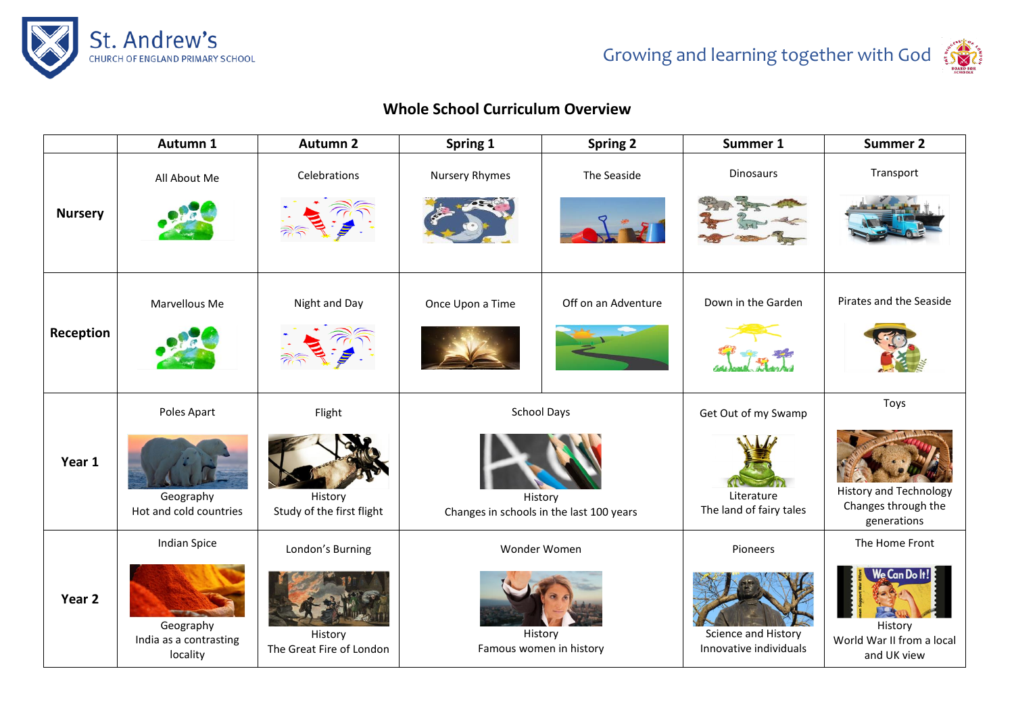

## **Whole School Curriculum Overview**

|                   | Autumn 1                                                               | <b>Autumn 2</b>                                         | Spring 1                                                                  | <b>Spring 2</b>                                    | Summer 1                                                     | <b>Summer 2</b>                                                                    |
|-------------------|------------------------------------------------------------------------|---------------------------------------------------------|---------------------------------------------------------------------------|----------------------------------------------------|--------------------------------------------------------------|------------------------------------------------------------------------------------|
| <b>Nursery</b>    | All About Me                                                           | Celebrations                                            | Nursery Rhymes                                                            | The Seaside                                        | <b>Dinosaurs</b>                                             | Transport                                                                          |
| Reception         | Marvellous Me                                                          | Night and Day                                           | Once Upon a Time                                                          | Off on an Adventure                                | Down in the Garden                                           | Pirates and the Seaside                                                            |
| Year 1            | Poles Apart<br>Geography<br>Hot and cold countries                     | Flight<br>History<br>Study of the first flight          | <b>School Days</b><br>History<br>Changes in schools in the last 100 years |                                                    | Get Out of my Swamp<br>Literature<br>The land of fairy tales | Toys<br><b>History and Technology</b><br>Changes through the<br>generations        |
| Year <sub>2</sub> | <b>Indian Spice</b><br>Geography<br>India as a contrasting<br>locality | London's Burning<br>History<br>The Great Fire of London |                                                                           | Wonder Women<br>History<br>Famous women in history | Pioneers<br>Science and History<br>Innovative individuals    | The Home Front<br>Ve Can Do<br>History<br>World War II from a local<br>and UK view |